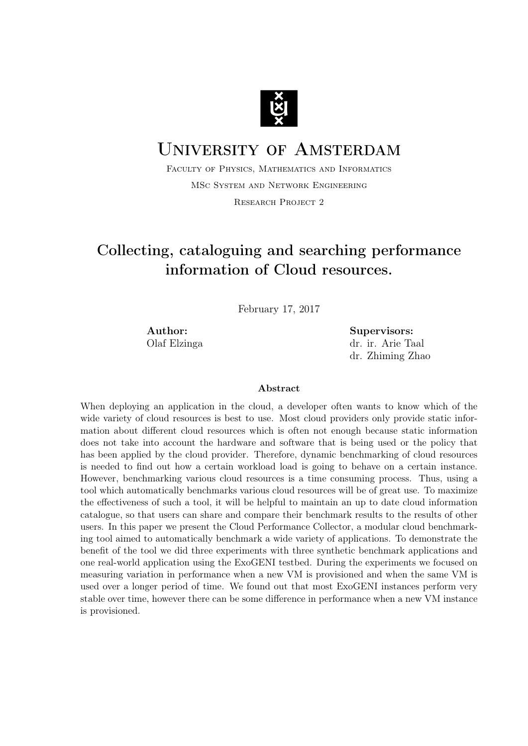

# University of Amsterdam

Faculty of Physics, Mathematics and Informatics MSc System and Network Engineering Research Project 2

# Collecting, cataloguing and searching performance information of Cloud resources.

February 17, 2017

Author: Supervisors: Olaf Elzinga dr. ir. Arie Taal dr. Zhiming Zhao

#### Abstract

When deploying an application in the cloud, a developer often wants to know which of the wide variety of cloud resources is best to use. Most cloud providers only provide static information about different cloud resources which is often not enough because static information does not take into account the hardware and software that is being used or the policy that has been applied by the cloud provider. Therefore, dynamic benchmarking of cloud resources is needed to find out how a certain workload load is going to behave on a certain instance. However, benchmarking various cloud resources is a time consuming process. Thus, using a tool which automatically benchmarks various cloud resources will be of great use. To maximize the effectiveness of such a tool, it will be helpful to maintain an up to date cloud information catalogue, so that users can share and compare their benchmark results to the results of other users. In this paper we present the Cloud Performance Collector, a modular cloud benchmarking tool aimed to automatically benchmark a wide variety of applications. To demonstrate the benefit of the tool we did three experiments with three synthetic benchmark applications and one real-world application using the ExoGENI testbed. During the experiments we focused on measuring variation in performance when a new VM is provisioned and when the same VM is used over a longer period of time. We found out that most ExoGENI instances perform very stable over time, however there can be some difference in performance when a new VM instance is provisioned.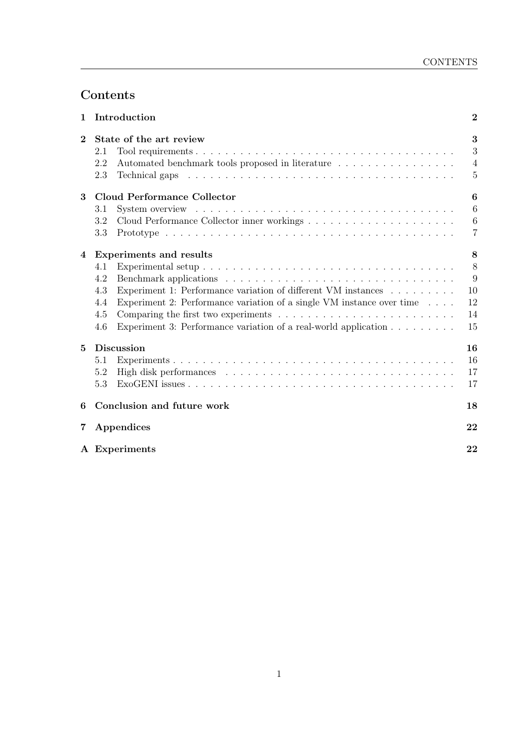# Contents

| $\mathbf 1$  | Introduction                                                                                                                                                                                                                          | $\overline{2}$   |
|--------------|---------------------------------------------------------------------------------------------------------------------------------------------------------------------------------------------------------------------------------------|------------------|
| $\mathbf{2}$ | State of the art review                                                                                                                                                                                                               | 3                |
|              | 2.1                                                                                                                                                                                                                                   | 3                |
|              | 2.2<br>Automated benchmark tools proposed in literature                                                                                                                                                                               | $\overline{4}$   |
|              | Technical gaps resources in the set of the set of the set of the set of the set of the set of the set of the set of the set of the set of the set of the set of the set of the set of the set of the set of the set of the set<br>2.3 | $5\,$            |
| 3            | Cloud Performance Collector                                                                                                                                                                                                           | 6                |
|              | 3.1                                                                                                                                                                                                                                   | 6                |
|              | 3.2                                                                                                                                                                                                                                   | $\boldsymbol{6}$ |
|              | 3.3                                                                                                                                                                                                                                   | 7                |
| 4            | <b>Experiments and results</b>                                                                                                                                                                                                        | 8                |
|              | 4.1                                                                                                                                                                                                                                   | 8                |
|              | 4.2                                                                                                                                                                                                                                   | 9                |
|              | 4.3<br>Experiment 1: Performance variation of different VM instances                                                                                                                                                                  | 10               |
|              | Experiment 2: Performance variation of a single VM instance over time<br>4.4                                                                                                                                                          | 12               |
|              | 4.5<br>Comparing the first two experiments $\ldots \ldots \ldots \ldots \ldots \ldots \ldots \ldots \ldots$                                                                                                                           | 14               |
|              | Experiment 3: Performance variation of a real-world application<br>4.6                                                                                                                                                                | 15               |
| 5            | Discussion                                                                                                                                                                                                                            | 16               |
|              | 5.1                                                                                                                                                                                                                                   | 16               |
|              | 5.2                                                                                                                                                                                                                                   | 17               |
|              | 5.3                                                                                                                                                                                                                                   | 17               |
| 6            | Conclusion and future work                                                                                                                                                                                                            | 18               |
| 7            | Appendices                                                                                                                                                                                                                            | 22               |
|              | A Experiments                                                                                                                                                                                                                         | 22               |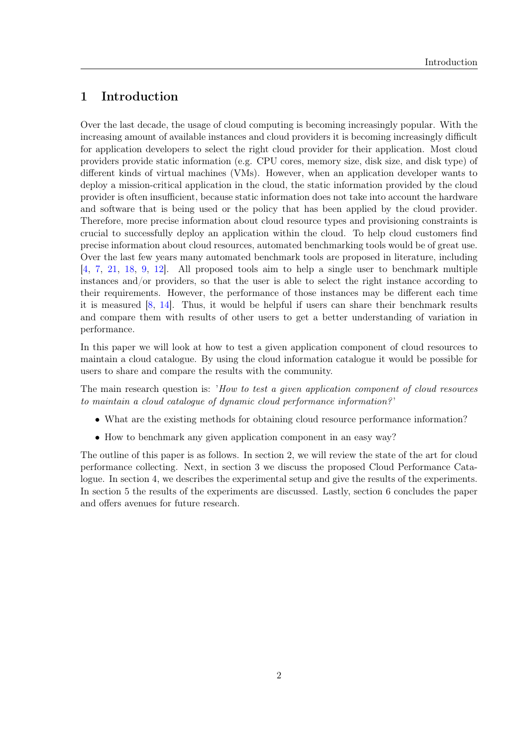## <span id="page-2-0"></span>1 Introduction

Over the last decade, the usage of cloud computing is becoming increasingly popular. With the increasing amount of available instances and cloud providers it is becoming increasingly difficult for application developers to select the right cloud provider for their application. Most cloud providers provide static information (e.g. CPU cores, memory size, disk size, and disk type) of different kinds of virtual machines (VMs). However, when an application developer wants to deploy a mission-critical application in the cloud, the static information provided by the cloud provider is often insufficient, because static information does not take into account the hardware and software that is being used or the policy that has been applied by the cloud provider. Therefore, more precise information about cloud resource types and provisioning constraints is crucial to successfully deploy an application within the cloud. To help cloud customers find precise information about cloud resources, automated benchmarking tools would be of great use. Over the last few years many automated benchmark tools are proposed in literature, including [\[4,](#page-20-0) [7,](#page-20-1) [21,](#page-21-0) [18,](#page-21-1) [9,](#page-20-2) [12\]](#page-20-3). All proposed tools aim to help a single user to benchmark multiple instances and/or providers, so that the user is able to select the right instance according to their requirements. However, the performance of those instances may be different each time it is measured [\[8,](#page-20-4) [14\]](#page-20-5). Thus, it would be helpful if users can share their benchmark results and compare them with results of other users to get a better understanding of variation in performance.

In this paper we will look at how to test a given application component of cloud resources to maintain a cloud catalogue. By using the cloud information catalogue it would be possible for users to share and compare the results with the community.

The main research question is: 'How to test a given application component of cloud resources to maintain a cloud catalogue of dynamic cloud performance information? '

- What are the existing methods for obtaining cloud resource performance information?
- How to benchmark any given application component in an easy way?

The outline of this paper is as follows. In section [2,](#page-3-0) we will review the state of the art for cloud performance collecting. Next, in section [3](#page-6-0) we discuss the proposed Cloud Performance Catalogue. In section [4,](#page-8-0) we describes the experimental setup and give the results of the experiments. In section [5](#page-16-0) the results of the experiments are discussed. Lastly, section [6](#page-18-0) concludes the paper and offers avenues for future research.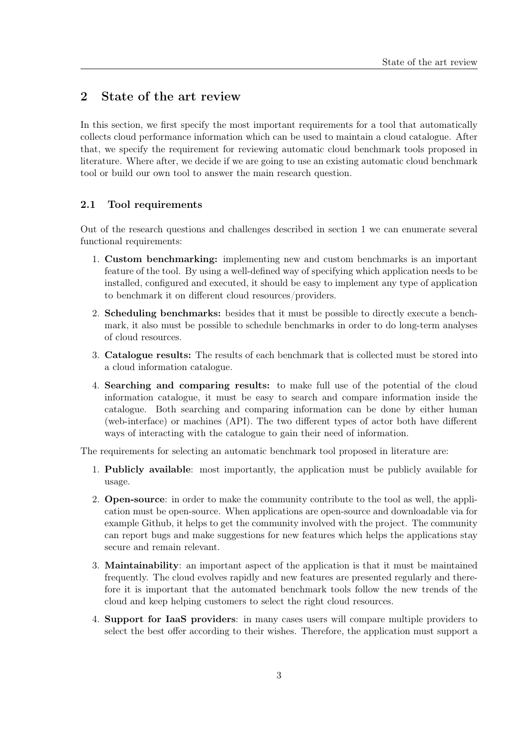# <span id="page-3-0"></span>2 State of the art review

In this section, we first specify the most important requirements for a tool that automatically collects cloud performance information which can be used to maintain a cloud catalogue. After that, we specify the requirement for reviewing automatic cloud benchmark tools proposed in literature. Where after, we decide if we are going to use an existing automatic cloud benchmark tool or build our own tool to answer the main research question.

## <span id="page-3-1"></span>2.1 Tool requirements

Out of the research questions and challenges described in section [1](#page-2-0) we can enumerate several functional requirements:

- 1. Custom benchmarking: implementing new and custom benchmarks is an important feature of the tool. By using a well-defined way of specifying which application needs to be installed, configured and executed, it should be easy to implement any type of application to benchmark it on different cloud resources/providers.
- 2. Scheduling benchmarks: besides that it must be possible to directly execute a benchmark, it also must be possible to schedule benchmarks in order to do long-term analyses of cloud resources.
- 3. Catalogue results: The results of each benchmark that is collected must be stored into a cloud information catalogue.
- 4. Searching and comparing results: to make full use of the potential of the cloud information catalogue, it must be easy to search and compare information inside the catalogue. Both searching and comparing information can be done by either human (web-interface) or machines (API). The two different types of actor both have different ways of interacting with the catalogue to gain their need of information.

The requirements for selecting an automatic benchmark tool proposed in literature are:

- 1. Publicly available: most importantly, the application must be publicly available for usage.
- 2. Open-source: in order to make the community contribute to the tool as well, the application must be open-source. When applications are open-source and downloadable via for example Github, it helps to get the community involved with the project. The community can report bugs and make suggestions for new features which helps the applications stay secure and remain relevant.
- 3. Maintainability: an important aspect of the application is that it must be maintained frequently. The cloud evolves rapidly and new features are presented regularly and therefore it is important that the automated benchmark tools follow the new trends of the cloud and keep helping customers to select the right cloud resources.
- 4. Support for IaaS providers: in many cases users will compare multiple providers to select the best offer according to their wishes. Therefore, the application must support a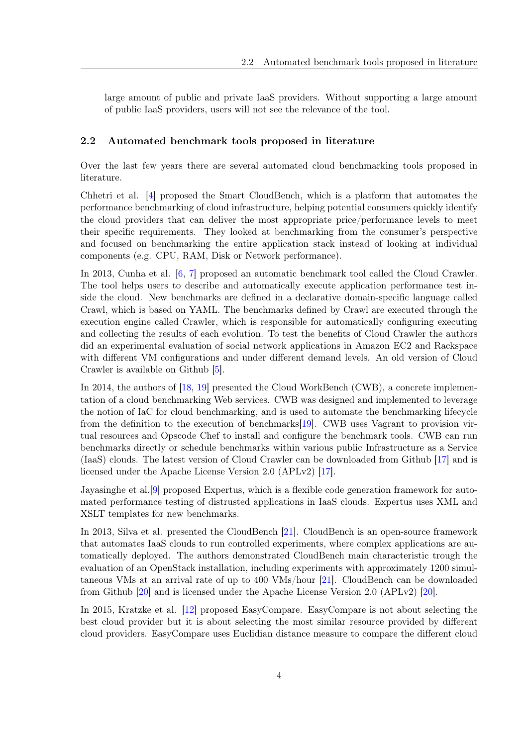large amount of public and private IaaS providers. Without supporting a large amount of public IaaS providers, users will not see the relevance of the tool.

#### <span id="page-4-0"></span>2.2 Automated benchmark tools proposed in literature

Over the last few years there are several automated cloud benchmarking tools proposed in literature.

Chhetri et al. [\[4\]](#page-20-0) proposed the Smart CloudBench, which is a platform that automates the performance benchmarking of cloud infrastructure, helping potential consumers quickly identify the cloud providers that can deliver the most appropriate price/performance levels to meet their specific requirements. They looked at benchmarking from the consumer's perspective and focused on benchmarking the entire application stack instead of looking at individual components (e.g. CPU, RAM, Disk or Network performance).

In 2013, Cunha et al. [\[6,](#page-20-6) [7\]](#page-20-1) proposed an automatic benchmark tool called the Cloud Crawler. The tool helps users to describe and automatically execute application performance test inside the cloud. New benchmarks are defined in a declarative domain-specific language called Crawl, which is based on YAML. The benchmarks defined by Crawl are executed through the execution engine called Crawler, which is responsible for automatically configuring executing and collecting the results of each evolution. To test the benefits of Cloud Crawler the authors did an experimental evaluation of social network applications in Amazon EC2 and Rackspace with different VM configurations and under different demand levels. An old version of Cloud Crawler is available on Github [\[5\]](#page-20-7).

In 2014, the authors of [\[18,](#page-21-1) [19\]](#page-21-2) presented the Cloud WorkBench (CWB), a concrete implementation of a cloud benchmarking Web services. CWB was designed and implemented to leverage the notion of IaC for cloud benchmarking, and is used to automate the benchmarking lifecycle from the definition to the execution of benchmarks[\[19\]](#page-21-2). CWB uses Vagrant to provision virtual resources and Opscode Chef to install and configure the benchmark tools. CWB can run benchmarks directly or schedule benchmarks within various public Infrastructure as a Service (IaaS) clouds. The latest version of Cloud Crawler can be downloaded from Github [\[17\]](#page-20-8) and is licensed under the Apache License Version 2.0 (APLv2) [\[17\]](#page-20-8).

Jayasinghe et al.[\[9\]](#page-20-2) proposed Expertus, which is a flexible code generation framework for automated performance testing of distrusted applications in IaaS clouds. Expertus uses XML and XSLT templates for new benchmarks.

In 2013, Silva et al. presented the CloudBench [\[21\]](#page-21-0). CloudBench is an open-source framework that automates IaaS clouds to run controlled experiments, where complex applications are automatically deployed. The authors demonstrated CloudBench main characteristic trough the evaluation of an OpenStack installation, including experiments with approximately 1200 simultaneous VMs at an arrival rate of up to 400 VMs/hour [\[21\]](#page-21-0). CloudBench can be downloaded from Github [\[20\]](#page-21-3) and is licensed under the Apache License Version 2.0 (APLv2) [\[20\]](#page-21-3).

In 2015, Kratzke et al. [\[12\]](#page-20-3) proposed EasyCompare. EasyCompare is not about selecting the best cloud provider but it is about selecting the most similar resource provided by different cloud providers. EasyCompare uses Euclidian distance measure to compare the different cloud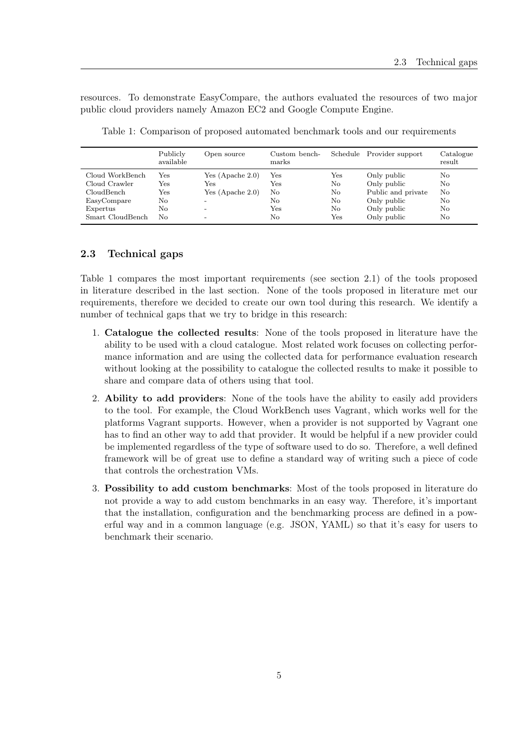resources. To demonstrate EasyCompare, the authors evaluated the resources of two major public cloud providers namely Amazon EC2 and Google Compute Engine.

<span id="page-5-1"></span>

|                  | Publicly<br>available | Open source              | Custom bench-<br>marks |     | Schedule Provider support | Catalogue<br>result |
|------------------|-----------------------|--------------------------|------------------------|-----|---------------------------|---------------------|
| Cloud WorkBench  | Yes                   | Yes (Apache 2.0)         | Yes                    | Yes | Only public               | No                  |
| Cloud Crawler    | Yes                   | Yes                      | Yes                    | No  | Only public               | No                  |
| CloudBench       | Yes                   | Yes (Apache 2.0)         | No                     | No  | Public and private        | No                  |
| EasyCompare      | No                    | $\overline{\phantom{a}}$ | No                     | No  | Only public               | No                  |
| Expertus         | No                    | $\overline{\phantom{0}}$ | Yes                    | No  | Only public               | No                  |
| Smart CloudBench | Nο                    |                          | No                     | Yes | Only public               | No                  |

Table 1: Comparison of proposed automated benchmark tools and our requirements

#### <span id="page-5-0"></span>2.3 Technical gaps

Table [1](#page-5-1) compares the most important requirements (see section [2.1\)](#page-3-1) of the tools proposed in literature described in the last section. None of the tools proposed in literature met our requirements, therefore we decided to create our own tool during this research. We identify a number of technical gaps that we try to bridge in this research:

- 1. Catalogue the collected results: None of the tools proposed in literature have the ability to be used with a cloud catalogue. Most related work focuses on collecting performance information and are using the collected data for performance evaluation research without looking at the possibility to catalogue the collected results to make it possible to share and compare data of others using that tool.
- 2. Ability to add providers: None of the tools have the ability to easily add providers to the tool. For example, the Cloud WorkBench uses Vagrant, which works well for the platforms Vagrant supports. However, when a provider is not supported by Vagrant one has to find an other way to add that provider. It would be helpful if a new provider could be implemented regardless of the type of software used to do so. Therefore, a well defined framework will be of great use to define a standard way of writing such a piece of code that controls the orchestration VMs.
- 3. Possibility to add custom benchmarks: Most of the tools proposed in literature do not provide a way to add custom benchmarks in an easy way. Therefore, it's important that the installation, configuration and the benchmarking process are defined in a powerful way and in a common language (e.g. JSON, YAML) so that it's easy for users to benchmark their scenario.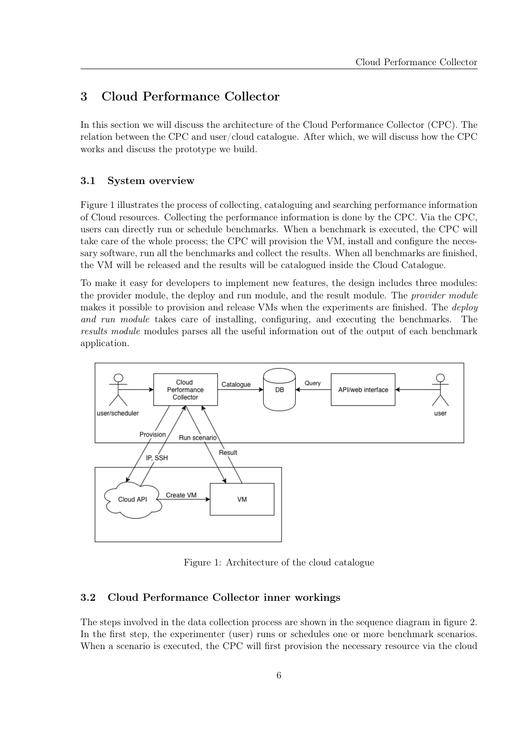# <span id="page-6-0"></span>3 Cloud Performance Collector

In this section we will discuss the architecture of the Cloud Performance Collector (CPC). The relation between the CPC and user/cloud catalogue. After which, we will discuss how the CPC works and discuss the prototype we build.

## <span id="page-6-1"></span>3.1 System overview

Figure [1](#page-6-3) illustrates the process of collecting, cataloguing and searching performance information of Cloud resources. Collecting the performance information is done by the CPC. Via the CPC, users can directly run or schedule benchmarks. When a benchmark is executed, the CPC will take care of the whole process; the CPC will provision the VM, install and configure the necessary software, run all the benchmarks and collect the results. When all benchmarks are finished, the VM will be released and the results will be catalogued inside the Cloud Catalogue.

To make it easy for developers to implement new features, the design includes three modules: the provider module, the deploy and run module, and the result module. The provider module makes it possible to provision and release VMs when the experiments are finished. The *deploy* and run module takes care of installing, configuring, and executing the benchmarks. The results module modules parses all the useful information out of the output of each benchmark application.

<span id="page-6-3"></span>

Figure 1: Architecture of the cloud catalogue

## <span id="page-6-2"></span>3.2 Cloud Performance Collector inner workings

The steps involved in the data collection process are shown in the sequence diagram in figure [2.](#page-7-1) In the first step, the experimenter (user) runs or schedules one or more benchmark scenarios. When a scenario is executed, the CPC will first provision the necessary resource via the cloud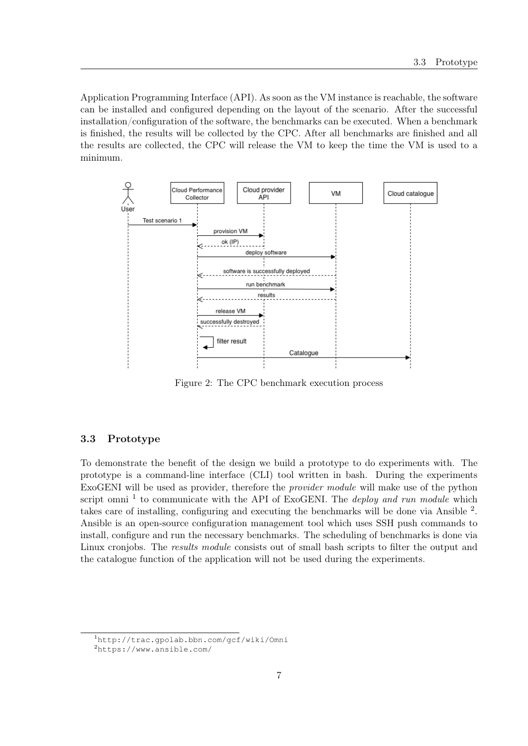Application Programming Interface (API). As soon as the VM instance is reachable, the software can be installed and configured depending on the layout of the scenario. After the successful installation/configuration of the software, the benchmarks can be executed. When a benchmark is finished, the results will be collected by the CPC. After all benchmarks are finished and all the results are collected, the CPC will release the VM to keep the time the VM is used to a minimum.

<span id="page-7-1"></span>

Figure 2: The CPC benchmark execution process

## <span id="page-7-0"></span>3.3 Prototype

To demonstrate the benefit of the design we build a prototype to do experiments with. The prototype is a command-line interface (CLI) tool written in bash. During the experiments ExoGENI will be used as provider, therefore the provider module will make use of the python script omni<sup>[1](#page-7-2)</sup> to communicate with the API of ExoGENI. The *deploy and run module* which takes care of installing, configuring and executing the benchmarks will be done via Ansible <sup>[2](#page-7-3)</sup>. Ansible is an open-source configuration management tool which uses SSH push commands to install, configure and run the necessary benchmarks. The scheduling of benchmarks is done via Linux cronjobs. The *results module* consists out of small bash scripts to filter the output and the catalogue function of the application will not be used during the experiments.

<span id="page-7-2"></span><sup>1</sup><http://trac.gpolab.bbn.com/gcf/wiki/Omni>

<span id="page-7-3"></span><sup>2</sup><https://www.ansible.com/>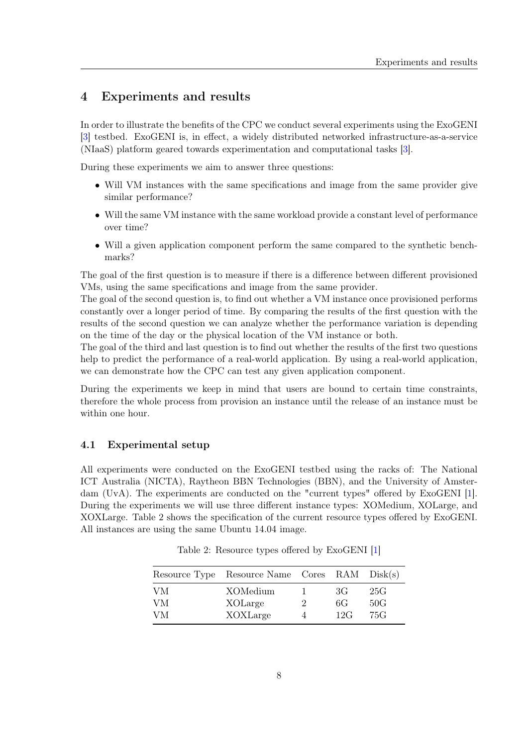# <span id="page-8-0"></span>4 Experiments and results

In order to illustrate the benefits of the CPC we conduct several experiments using the ExoGENI [\[3\]](#page-20-9) testbed. ExoGENI is, in effect, a widely distributed networked infrastructure-as-a-service (NIaaS) platform geared towards experimentation and computational tasks [\[3\]](#page-20-9).

During these experiments we aim to answer three questions:

- Will VM instances with the same specifications and image from the same provider give similar performance?
- Will the same VM instance with the same workload provide a constant level of performance over time?
- Will a given application component perform the same compared to the synthetic benchmarks?

The goal of the first question is to measure if there is a difference between different provisioned VMs, using the same specifications and image from the same provider.

The goal of the second question is, to find out whether a VM instance once provisioned performs constantly over a longer period of time. By comparing the results of the first question with the results of the second question we can analyze whether the performance variation is depending on the time of the day or the physical location of the VM instance or both.

The goal of the third and last question is to find out whether the results of the first two questions help to predict the performance of a real-world application. By using a real-world application, we can demonstrate how the CPC can test any given application component.

During the experiments we keep in mind that users are bound to certain time constraints, therefore the whole process from provision an instance until the release of an instance must be within one hour.

## <span id="page-8-1"></span>4.1 Experimental setup

<span id="page-8-2"></span>All experiments were conducted on the ExoGENI testbed using the racks of: The National ICT Australia (NICTA), Raytheon BBN Technologies (BBN), and the University of Amsterdam (UvA). The experiments are conducted on the "current types" offered by ExoGENI [\[1\]](#page-20-10). During the experiments we will use three different instance types: XOMedium, XOLarge, and XOXLarge. Table [2](#page-8-2) shows the specification of the current resource types offered by ExoGENI. All instances are using the same Ubuntu 14.04 image.

|           | Resource Type Resource Name Cores RAM Disk(s) |               |           |            |
|-----------|-----------------------------------------------|---------------|-----------|------------|
| VM.       | XOMedium                                      |               | 3G        | 25G        |
| VM.<br>VM | XOLarge<br>XOXLarge                           | $\mathcal{L}$ | 6G<br>12G | 50G<br>75G |

Table 2: Resource types offered by ExoGENI [\[1\]](#page-20-10)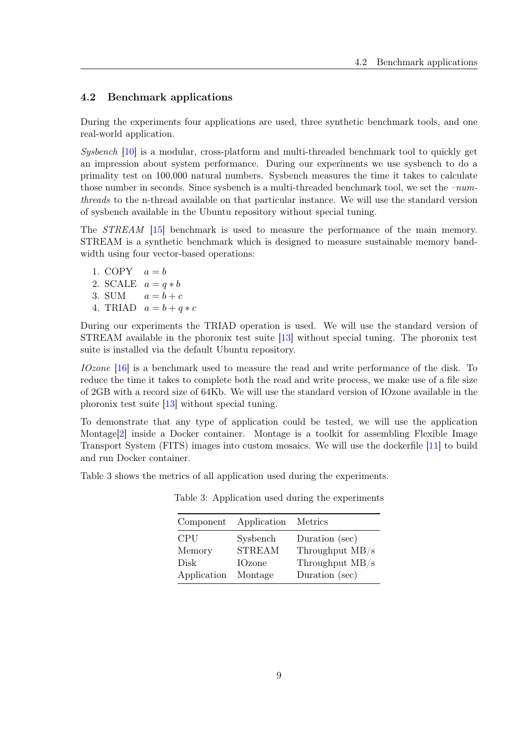#### <span id="page-9-0"></span>4.2 Benchmark applications

During the experiments four applications are used, three synthetic benchmark tools, and one real-world application.

Sysbench [\[10\]](#page-20-11) is a modular, cross-platform and multi-threaded benchmark tool to quickly get an impression about system performance. During our experiments we use sysbench to do a primality test on 100,000 natural numbers. Sysbench measures the time it takes to calculate those number in seconds. Since sysbench is a multi-threaded benchmark tool, we set the  $-num$ threads to the n-thread available on that particular instance. We will use the standard version of sysbench available in the Ubuntu repository without special tuning.

The STREAM [\[15\]](#page-20-12) benchmark is used to measure the performance of the main memory. STREAM is a synthetic benchmark which is designed to measure sustainable memory bandwidth using four vector-based operations:

1. COPY  $a = b$ 2. SCALE  $a = q * b$ 3. SUM  $a = b + c$ 4. TRIAD  $a = b + q * c$ 

During our experiments the TRIAD operation is used. We will use the standard version of STREAM available in the phoronix test suite [\[13\]](#page-20-13) without special tuning. The phoronix test suite is installed via the default Ubuntu repository.

IOzone [\[16\]](#page-20-14) is a benchmark used to measure the read and write performance of the disk. To reduce the time it takes to complete both the read and write process, we make use of a file size of 2GB with a record size of 64Kb. We will use the standard version of IOzone available in the phoronix test suite [\[13\]](#page-20-13) without special tuning.

To demonstrate that any type of application could be tested, we will use the application Montage[\[2\]](#page-20-15) inside a Docker container. Montage is a toolkit for assembling Flexible Image Transport System (FITS) images into custom mosaics. We will use the dockerfile [\[11\]](#page-20-16) to build and run Docker container.

<span id="page-9-1"></span>Table [3](#page-9-1) shows the metrics of all application used during the experiments.

| Component   | Application   | Metrics           |
|-------------|---------------|-------------------|
| <b>CPU</b>  | Sysbench      | Duration (sec)    |
| Memory      | <b>STREAM</b> | Throughput $MB/s$ |
| Disk        | <b>IOzone</b> | Throughput MB/s   |
| Application | Montage       | Duration (sec)    |

Table 3: Application used during the experiments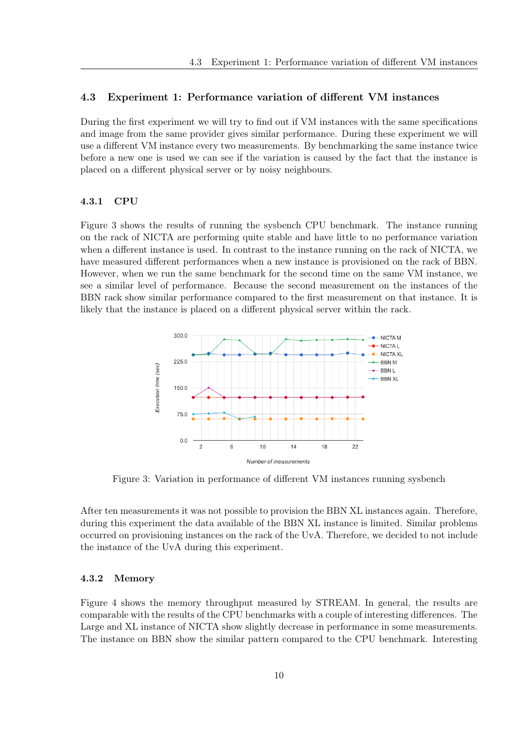#### <span id="page-10-0"></span>4.3 Experiment 1: Performance variation of different VM instances

During the first experiment we will try to find out if VM instances with the same specifications and image from the same provider gives similar performance. During these experiment we will use a different VM instance every two measurements. By benchmarking the same instance twice before a new one is used we can see if the variation is caused by the fact that the instance is placed on a different physical server or by noisy neighbours.

#### 4.3.1 CPU

Figure [3](#page-10-1) shows the results of running the sysbench CPU benchmark. The instance running on the rack of NICTA are performing quite stable and have little to no performance variation when a different instance is used. In contrast to the instance running on the rack of NICTA, we have measured different performances when a new instance is provisioned on the rack of BBN. However, when we run the same benchmark for the second time on the same VM instance, we see a similar level of performance. Because the second measurement on the instances of the BBN rack show similar performance compared to the first measurement on that instance. It is likely that the instance is placed on a different physical server within the rack.

<span id="page-10-1"></span>

Figure 3: Variation in performance of different VM instances running sysbench

After ten measurements it was not possible to provision the BBN XL instances again. Therefore, during this experiment the data available of the BBN XL instance is limited. Similar problems occurred on provisioning instances on the rack of the UvA. Therefore, we decided to not include the instance of the UvA during this experiment.

#### 4.3.2 Memory

Figure [4](#page-11-0) shows the memory throughput measured by STREAM. In general, the results are comparable with the results of the CPU benchmarks with a couple of interesting differences. The Large and XL instance of NICTA show slightly decrease in performance in some measurements. The instance on BBN show the similar pattern compared to the CPU benchmark. Interesting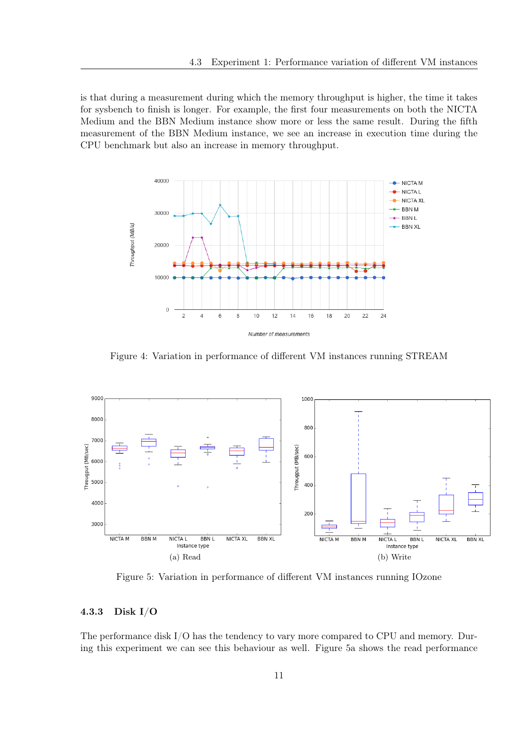is that during a measurement during which the memory throughput is higher, the time it takes for sysbench to finish is longer. For example, the first four measurements on both the NICTA Medium and the BBN Medium instance show more or less the same result. During the fifth measurement of the BBN Medium instance, we see an increase in execution time during the CPU benchmark but also an increase in memory throughput.

<span id="page-11-0"></span>

Figure 4: Variation in performance of different VM instances running STREAM

<span id="page-11-1"></span>

<span id="page-11-2"></span>Figure 5: Variation in performance of different VM instances running IOzone

#### 4.3.3 Disk I/O

The performance disk I/O has the tendency to vary more compared to CPU and memory. During this experiment we can see this behaviour as well. Figure [5a](#page-11-1) shows the read performance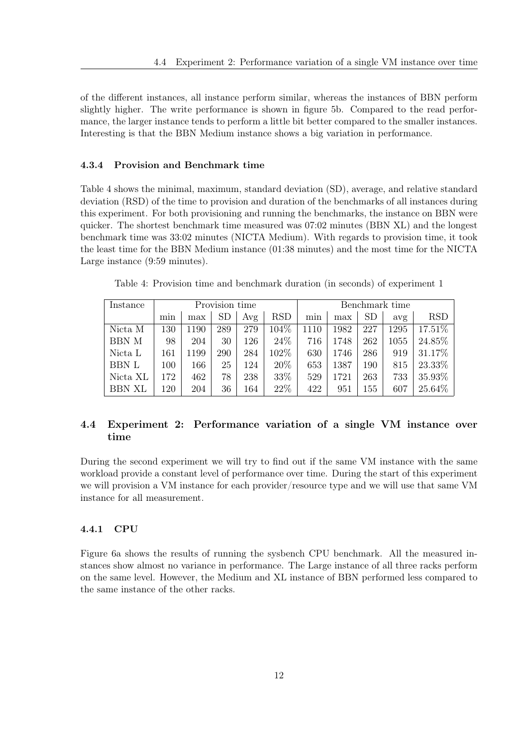of the different instances, all instance perform similar, whereas the instances of BBN perform slightly higher. The write performance is shown in figure [5b.](#page-11-2) Compared to the read performance, the larger instance tends to perform a little bit better compared to the smaller instances. Interesting is that the BBN Medium instance shows a big variation in performance.

#### 4.3.4 Provision and Benchmark time

Table [4](#page-12-1) shows the minimal, maximum, standard deviation (SD), average, and relative standard deviation (RSD) of the time to provision and duration of the benchmarks of all instances during this experiment. For both provisioning and running the benchmarks, the instance on BBN were quicker. The shortest benchmark time measured was 07:02 minutes (BBN XL) and the longest benchmark time was 33:02 minutes (NICTA Medium). With regards to provision time, it took the least time for the BBN Medium instance (01:38 minutes) and the most time for the NICTA Large instance (9:59 minutes).

<span id="page-12-1"></span>Table 4: Provision time and benchmark duration (in seconds) of experiment 1

| Instance      |     |      | Provision time |     |            |      |      | Benchmark time |      |            |
|---------------|-----|------|----------------|-----|------------|------|------|----------------|------|------------|
|               | min | max  | <b>SD</b>      | Avg | <b>RSD</b> | min  | max  | SD.            | avg  | <b>RSD</b> |
| Nicta M       | 130 | 1190 | 289            | 279 | 104\%      | 1110 | 1982 | 227            | 1295 | 17.51%     |
| <b>BBN M</b>  | 98  | 204  | 30             | 126 | 24\%       | 716  | 1748 | 262            | 1055 | 24.85%     |
| Nicta L       | 161 | 1199 | 290            | 284 | 102\%      | 630  | 1746 | 286            | 919  | 31.17%     |
| <b>BBN L</b>  | 100 | 166  | 25             | 124 | 20%        | 653  | 1387 | 190            | 815  | 23.33%     |
| Nicta XL      | 172 | 462  | 78             | 238 | 33\%       | 529  | 1721 | 263            | 733  | 35.93%     |
| <b>BBN XL</b> | 120 | 204  | 36             | 164 | 22\%       | 422  | 951  | 155            | 607  | 25.64%     |

## <span id="page-12-0"></span>4.4 Experiment 2: Performance variation of a single VM instance over time

During the second experiment we will try to find out if the same VM instance with the same workload provide a constant level of performance over time. During the start of this experiment we will provision a VM instance for each provider/resource type and we will use that same VM instance for all measurement.

### 4.4.1 CPU

Figure [6a](#page-13-0) shows the results of running the sysbench CPU benchmark. All the measured instances show almost no variance in performance. The Large instance of all three racks perform on the same level. However, the Medium and XL instance of BBN performed less compared to the same instance of the other racks.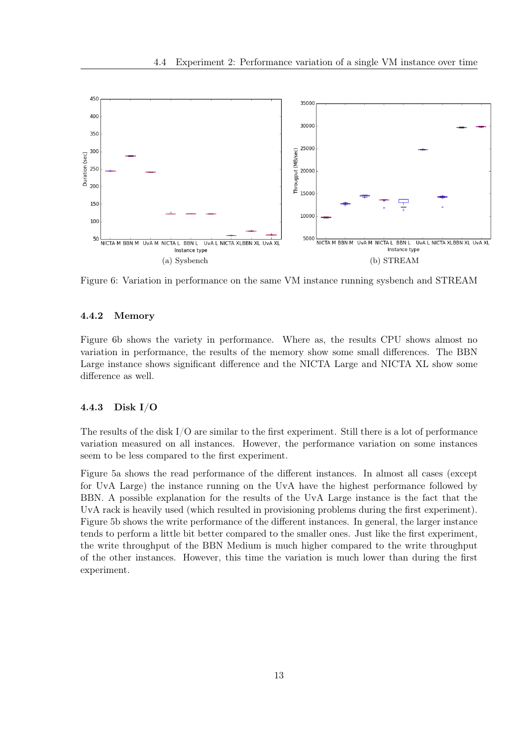<span id="page-13-0"></span>

<span id="page-13-1"></span>Figure 6: Variation in performance on the same VM instance running sysbench and STREAM

#### 4.4.2 Memory

Figure [6b](#page-13-1) shows the variety in performance. Where as, the results CPU shows almost no variation in performance, the results of the memory show some small differences. The BBN Large instance shows significant difference and the NICTA Large and NICTA XL show some difference as well.

#### 4.4.3 Disk I/O

The results of the disk I/O are similar to the first experiment. Still there is a lot of performance variation measured on all instances. However, the performance variation on some instances seem to be less compared to the first experiment.

Figure [5a](#page-11-1) shows the read performance of the different instances. In almost all cases (except for UvA Large) the instance running on the UvA have the highest performance followed by BBN. A possible explanation for the results of the UvA Large instance is the fact that the UvA rack is heavily used (which resulted in provisioning problems during the first experiment). Figure [5b](#page-11-2) shows the write performance of the different instances. In general, the larger instance tends to perform a little bit better compared to the smaller ones. Just like the first experiment, the write throughput of the BBN Medium is much higher compared to the write throughput of the other instances. However, this time the variation is much lower than during the first experiment.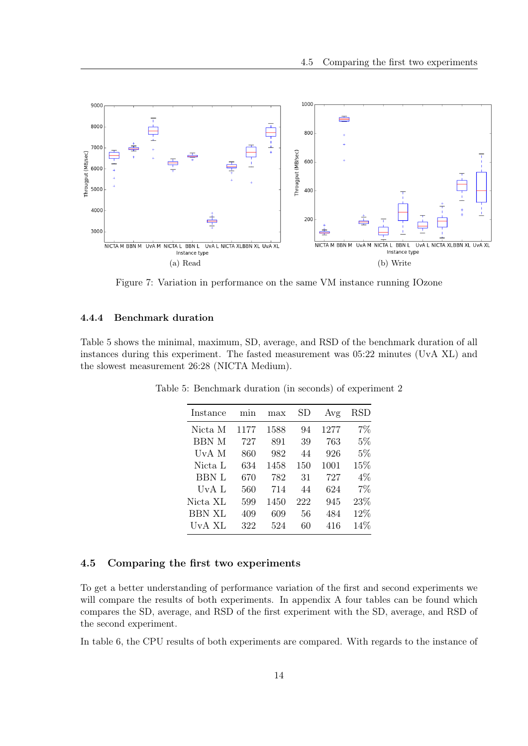<span id="page-14-2"></span>

Figure 7: Variation in performance on the same VM instance running IOzone

#### 4.4.4 Benchmark duration

<span id="page-14-1"></span>Table [5](#page-14-1) shows the minimal, maximum, SD, average, and RSD of the benchmark duration of all instances during this experiment. The fasted measurement was 05:22 minutes (UvA XL) and the slowest measurement 26:28 (NICTA Medium).

| Instance     | min  | max  | $_{\rm SD}$ | Avg  | RSD   |
|--------------|------|------|-------------|------|-------|
| Nicta M      | 1177 | 1588 | 94          | 1277 | 7%    |
| <b>BBN</b> M | 727  | 891  | 39          | 763  | $5\%$ |
| UvA M        | 860  | 982  | 44          | 926  | $5\%$ |
| Nicta L      | 634  | 1458 | 150         | 1001 | 15%   |
| <b>BBN L</b> | 670  | 782  | 31          | 727  | 4%    |
| UvA L        | 560  | 714  | 44          | 624  | 7%    |
| Nicta XL     | 599  | 1450 | 222         | 945  | 23%   |
| BBN XL       | 409  | 609  | 56          | 484  | 12%   |
| UvA XL       | 322  | 524  | 60          | 416  | 14%   |
|              |      |      |             |      |       |

Table 5: Benchmark duration (in seconds) of experiment 2

#### <span id="page-14-0"></span>4.5 Comparing the first two experiments

To get a better understanding of performance variation of the first and second experiments we will compare the results of both experiments. In appendix [A](#page-22-1) four tables can be found which compares the SD, average, and RSD of the first experiment with the SD, average, and RSD of the second experiment.

In table [6,](#page-22-2) the CPU results of both experiments are compared. With regards to the instance of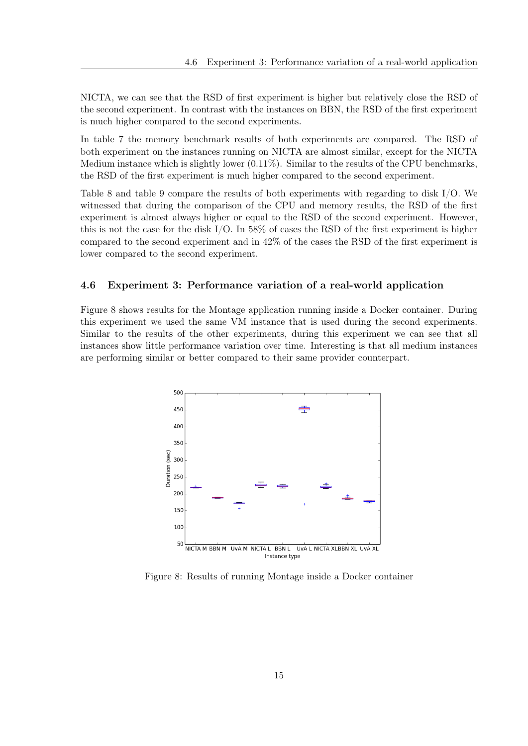NICTA, we can see that the RSD of first experiment is higher but relatively close the RSD of the second experiment. In contrast with the instances on BBN, the RSD of the first experiment is much higher compared to the second experiments.

In table [7](#page-22-3) the memory benchmark results of both experiments are compared. The RSD of both experiment on the instances running on NICTA are almost similar, except for the NICTA Medium instance which is slightly lower  $(0.11\%)$ . Similar to the results of the CPU benchmarks, the RSD of the first experiment is much higher compared to the second experiment.

Table [8](#page-23-0) and table [9](#page-23-1) compare the results of both experiments with regarding to disk I/O. We witnessed that during the comparison of the CPU and memory results, the RSD of the first experiment is almost always higher or equal to the RSD of the second experiment. However, this is not the case for the disk I/O. In 58% of cases the RSD of the first experiment is higher compared to the second experiment and in 42% of the cases the RSD of the first experiment is lower compared to the second experiment.

## <span id="page-15-0"></span>4.6 Experiment 3: Performance variation of a real-world application

<span id="page-15-1"></span>Figure [8](#page-15-1) shows results for the Montage application running inside a Docker container. During this experiment we used the same VM instance that is used during the second experiments. Similar to the results of the other experiments, during this experiment we can see that all instances show little performance variation over time. Interesting is that all medium instances are performing similar or better compared to their same provider counterpart.



Figure 8: Results of running Montage inside a Docker container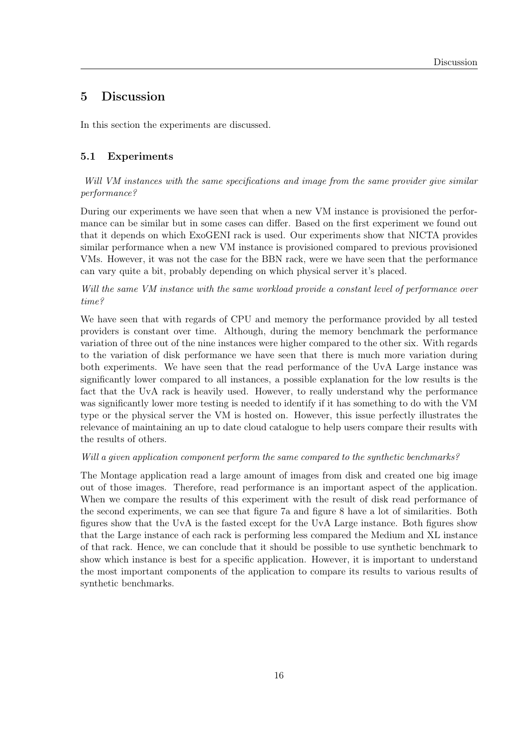# <span id="page-16-0"></span>5 Discussion

In this section the experiments are discussed.

# <span id="page-16-1"></span>5.1 Experiments

## Will VM instances with the same specifications and image from the same provider give similar performance?

During our experiments we have seen that when a new VM instance is provisioned the performance can be similar but in some cases can differ. Based on the first experiment we found out that it depends on which ExoGENI rack is used. Our experiments show that NICTA provides similar performance when a new VM instance is provisioned compared to previous provisioned VMs. However, it was not the case for the BBN rack, were we have seen that the performance can vary quite a bit, probably depending on which physical server it's placed.

## Will the same VM instance with the same workload provide a constant level of performance over time?

We have seen that with regards of CPU and memory the performance provided by all tested providers is constant over time. Although, during the memory benchmark the performance variation of three out of the nine instances were higher compared to the other six. With regards to the variation of disk performance we have seen that there is much more variation during both experiments. We have seen that the read performance of the UvA Large instance was significantly lower compared to all instances, a possible explanation for the low results is the fact that the UvA rack is heavily used. However, to really understand why the performance was significantly lower more testing is needed to identify if it has something to do with the VM type or the physical server the VM is hosted on. However, this issue perfectly illustrates the relevance of maintaining an up to date cloud catalogue to help users compare their results with the results of others.

## Will a given application component perform the same compared to the synthetic benchmarks?

The Montage application read a large amount of images from disk and created one big image out of those images. Therefore, read performance is an important aspect of the application. When we compare the results of this experiment with the result of disk read performance of the second experiments, we can see that figure [7a](#page-14-2) and figure [8](#page-15-1) have a lot of similarities. Both figures show that the UvA is the fasted except for the UvA Large instance. Both figures show that the Large instance of each rack is performing less compared the Medium and XL instance of that rack. Hence, we can conclude that it should be possible to use synthetic benchmark to show which instance is best for a specific application. However, it is important to understand the most important components of the application to compare its results to various results of synthetic benchmarks.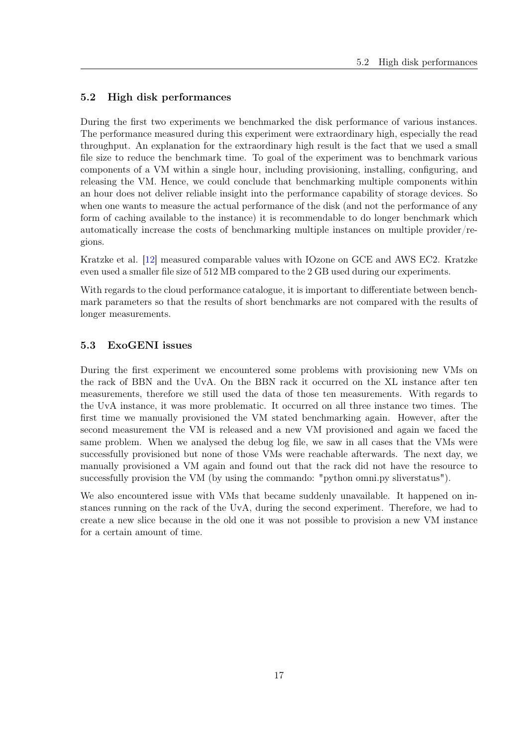#### <span id="page-17-0"></span>5.2 High disk performances

During the first two experiments we benchmarked the disk performance of various instances. The performance measured during this experiment were extraordinary high, especially the read throughput. An explanation for the extraordinary high result is the fact that we used a small file size to reduce the benchmark time. To goal of the experiment was to benchmark various components of a VM within a single hour, including provisioning, installing, configuring, and releasing the VM. Hence, we could conclude that benchmarking multiple components within an hour does not deliver reliable insight into the performance capability of storage devices. So when one wants to measure the actual performance of the disk (and not the performance of any form of caching available to the instance) it is recommendable to do longer benchmark which automatically increase the costs of benchmarking multiple instances on multiple provider/regions.

Kratzke et al. [\[12\]](#page-20-3) measured comparable values with IOzone on GCE and AWS EC2. Kratzke even used a smaller file size of 512 MB compared to the 2 GB used during our experiments.

With regards to the cloud performance catalogue, it is important to differentiate between benchmark parameters so that the results of short benchmarks are not compared with the results of longer measurements.

## <span id="page-17-1"></span>5.3 ExoGENI issues

During the first experiment we encountered some problems with provisioning new VMs on the rack of BBN and the UvA. On the BBN rack it occurred on the XL instance after ten measurements, therefore we still used the data of those ten measurements. With regards to the UvA instance, it was more problematic. It occurred on all three instance two times. The first time we manually provisioned the VM stated benchmarking again. However, after the second measurement the VM is released and a new VM provisioned and again we faced the same problem. When we analysed the debug log file, we saw in all cases that the VMs were successfully provisioned but none of those VMs were reachable afterwards. The next day, we manually provisioned a VM again and found out that the rack did not have the resource to successfully provision the VM (by using the commando: "python omni.py sliverstatus").

We also encountered issue with VMs that became suddenly unavailable. It happened on instances running on the rack of the UvA, during the second experiment. Therefore, we had to create a new slice because in the old one it was not possible to provision a new VM instance for a certain amount of time.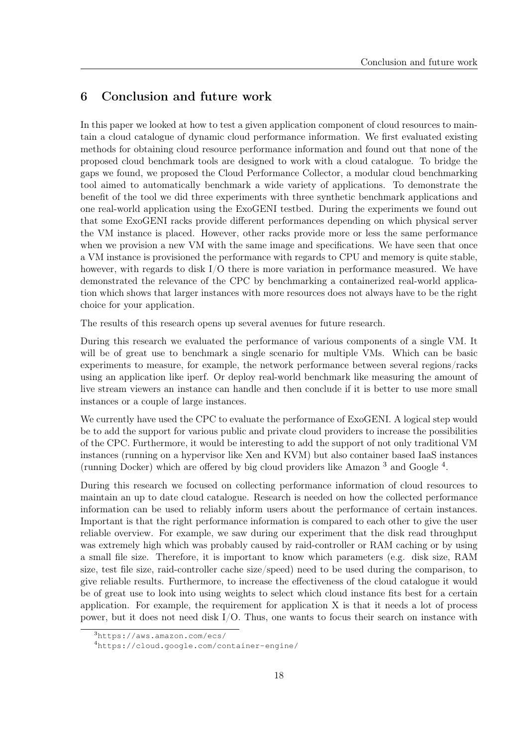# <span id="page-18-0"></span>6 Conclusion and future work

In this paper we looked at how to test a given application component of cloud resources to maintain a cloud catalogue of dynamic cloud performance information. We first evaluated existing methods for obtaining cloud resource performance information and found out that none of the proposed cloud benchmark tools are designed to work with a cloud catalogue. To bridge the gaps we found, we proposed the Cloud Performance Collector, a modular cloud benchmarking tool aimed to automatically benchmark a wide variety of applications. To demonstrate the benefit of the tool we did three experiments with three synthetic benchmark applications and one real-world application using the ExoGENI testbed. During the experiments we found out that some ExoGENI racks provide different performances depending on which physical server the VM instance is placed. However, other racks provide more or less the same performance when we provision a new VM with the same image and specifications. We have seen that once a VM instance is provisioned the performance with regards to CPU and memory is quite stable, however, with regards to disk I/O there is more variation in performance measured. We have demonstrated the relevance of the CPC by benchmarking a containerized real-world application which shows that larger instances with more resources does not always have to be the right choice for your application.

The results of this research opens up several avenues for future research.

During this research we evaluated the performance of various components of a single VM. It will be of great use to benchmark a single scenario for multiple VMs. Which can be basic experiments to measure, for example, the network performance between several regions/racks using an application like iperf. Or deploy real-world benchmark like measuring the amount of live stream viewers an instance can handle and then conclude if it is better to use more small instances or a couple of large instances.

We currently have used the CPC to evaluate the performance of ExoGENI. A logical step would be to add the support for various public and private cloud providers to increase the possibilities of the CPC. Furthermore, it would be interesting to add the support of not only traditional VM instances (running on a hypervisor like Xen and KVM) but also container based IaaS instances (running Docker) which are offered by big cloud providers like Amazon [3](#page-18-1) and Google [4](#page-18-2) .

During this research we focused on collecting performance information of cloud resources to maintain an up to date cloud catalogue. Research is needed on how the collected performance information can be used to reliably inform users about the performance of certain instances. Important is that the right performance information is compared to each other to give the user reliable overview. For example, we saw during our experiment that the disk read throughput was extremely high which was probably caused by raid-controller or RAM caching or by using a small file size. Therefore, it is important to know which parameters (e.g. disk size, RAM size, test file size, raid-controller cache size/speed) need to be used during the comparison, to give reliable results. Furthermore, to increase the effectiveness of the cloud catalogue it would be of great use to look into using weights to select which cloud instance fits best for a certain application. For example, the requirement for application X is that it needs a lot of process power, but it does not need disk I/O. Thus, one wants to focus their search on instance with

<span id="page-18-1"></span><sup>3</sup><https://aws.amazon.com/ecs/>

<span id="page-18-2"></span><sup>4</sup><https://cloud.google.com/container-engine/>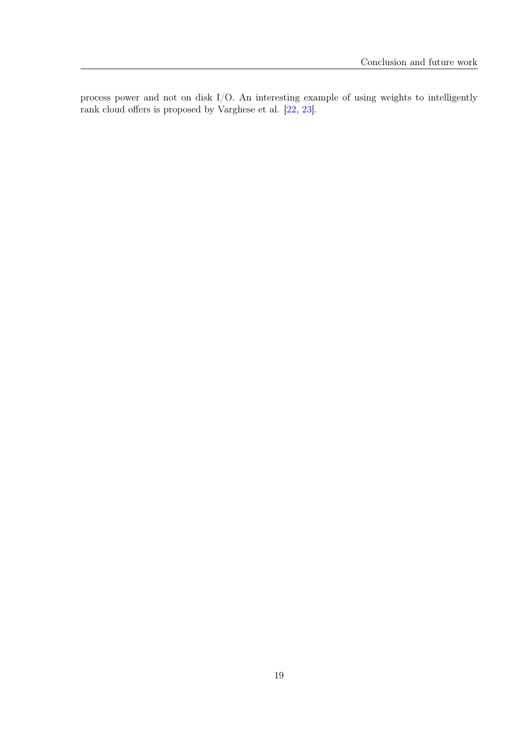process power and not on disk I/O. An interesting example of using weights to intelligently rank cloud offers is proposed by Varghese et al. [\[22,](#page-21-4) [23\]](#page-21-5).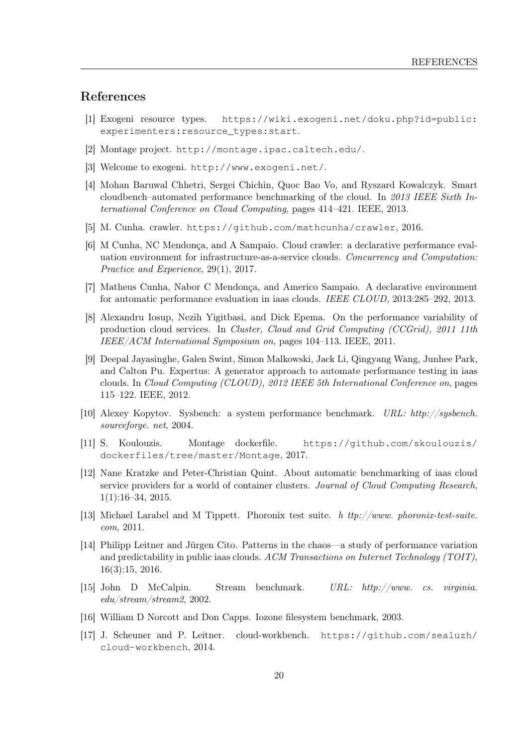# References

- <span id="page-20-10"></span>[1] Exogeni resource types. [https://wiki.exogeni.net/doku.php?id=public:]( https://wiki.exogeni.net/doku.php?id=public:experimenters:resource_types:start) [experimenters:resource\\_types:start]( https://wiki.exogeni.net/doku.php?id=public:experimenters:resource_types:start).
- <span id="page-20-15"></span>[2] Montage project. <http://montage.ipac.caltech.edu/>.
- <span id="page-20-9"></span>[3] Welcome to exogeni. <http://www.exogeni.net/>.
- <span id="page-20-0"></span>[4] Mohan Baruwal Chhetri, Sergei Chichin, Quoc Bao Vo, and Ryszard Kowalczyk. Smart cloudbench–automated performance benchmarking of the cloud. In 2013 IEEE Sixth International Conference on Cloud Computing, pages 414–421. IEEE, 2013.
- <span id="page-20-7"></span>[5] M. Cunha. crawler. <https://github.com/mathcunha/crawler>, 2016.
- <span id="page-20-6"></span>[6] M Cunha, NC Mendonça, and A Sampaio. Cloud crawler: a declarative performance evaluation environment for infrastructure-as-a-service clouds. Concurrency and Computation: Practice and Experience, 29(1), 2017.
- <span id="page-20-1"></span>[7] Matheus Cunha, Nabor C Mendonça, and Americo Sampaio. A declarative environment for automatic performance evaluation in iaas clouds. IEEE CLOUD, 2013:285–292, 2013.
- <span id="page-20-4"></span>[8] Alexandru Iosup, Nezih Yigitbasi, and Dick Epema. On the performance variability of production cloud services. In Cluster, Cloud and Grid Computing (CCGrid), 2011 11th IEEE/ACM International Symposium on, pages 104–113. IEEE, 2011.
- <span id="page-20-2"></span>[9] Deepal Jayasinghe, Galen Swint, Simon Malkowski, Jack Li, Qingyang Wang, Junhee Park, and Calton Pu. Expertus: A generator approach to automate performance testing in iaas clouds. In Cloud Computing (CLOUD), 2012 IEEE 5th International Conference on, pages 115–122. IEEE, 2012.
- <span id="page-20-11"></span>[10] Alexey Kopytov. Sysbench: a system performance benchmark. URL: http://sysbench. sourceforge. net, 2004.
- <span id="page-20-16"></span>[11] S. Koulouzis. Montage dockerfile. [https://github.com/skoulouzis/](https://github.com/skoulouzis/dockerfiles/tree/master/Montage) [dockerfiles/tree/master/Montage](https://github.com/skoulouzis/dockerfiles/tree/master/Montage), 2017.
- <span id="page-20-3"></span>[12] Nane Kratzke and Peter-Christian Quint. About automatic benchmarking of iaas cloud service providers for a world of container clusters. Journal of Cloud Computing Research, 1(1):16–34, 2015.
- <span id="page-20-13"></span>[13] Michael Larabel and M Tippett. Phoronix test suite. h ttp://www. phoronix-test-suite. com, 2011.
- <span id="page-20-5"></span>[14] Philipp Leitner and Jürgen Cito. Patterns in the chaos—a study of performance variation and predictability in public iaas clouds. ACM Transactions on Internet Technology (TOIT), 16(3):15, 2016.
- <span id="page-20-12"></span>[15] John D McCalpin. Stream benchmark. URL: http://www. cs. virginia. edu/stream/stream2, 2002.
- <span id="page-20-14"></span>[16] William D Norcott and Don Capps. Iozone filesystem benchmark, 2003.
- <span id="page-20-8"></span>[17] J. Scheuner and P. Leitner. cloud-workbench. [https://github.com/sealuzh/](https://github.com/sealuzh/cloud-workbench) [cloud-workbench](https://github.com/sealuzh/cloud-workbench), 2014.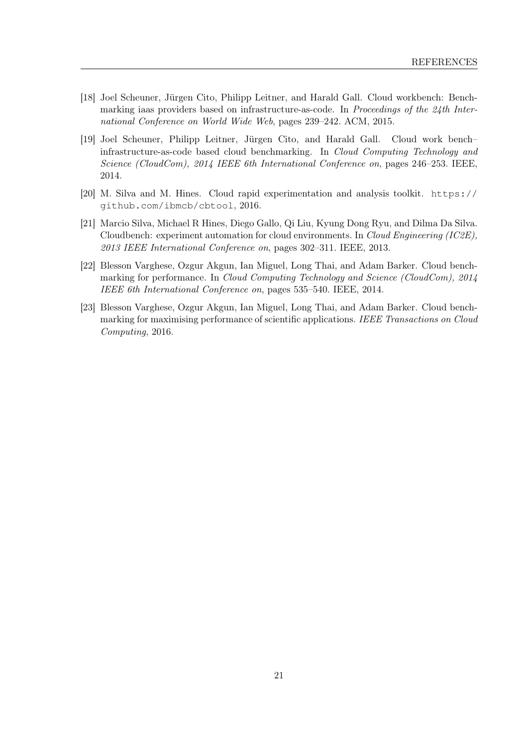- <span id="page-21-1"></span>[18] Joel Scheuner, Jürgen Cito, Philipp Leitner, and Harald Gall. Cloud workbench: Benchmarking iaas providers based on infrastructure-as-code. In *Proceedings of the 24th Inter*national Conference on World Wide Web, pages 239–242. ACM, 2015.
- <span id="page-21-2"></span>[19] Joel Scheuner, Philipp Leitner, Jürgen Cito, and Harald Gall. Cloud work bench– infrastructure-as-code based cloud benchmarking. In Cloud Computing Technology and Science (CloudCom), 2014 IEEE 6th International Conference on, pages 246–253. IEEE, 2014.
- <span id="page-21-3"></span>[20] M. Silva and M. Hines. Cloud rapid experimentation and analysis toolkit. [https://](https://github.com/ibmcb/cbtool) [github.com/ibmcb/cbtool](https://github.com/ibmcb/cbtool), 2016.
- <span id="page-21-0"></span>[21] Marcio Silva, Michael R Hines, Diego Gallo, Qi Liu, Kyung Dong Ryu, and Dilma Da Silva. Cloudbench: experiment automation for cloud environments. In Cloud Engineering (IC2E), 2013 IEEE International Conference on, pages 302–311. IEEE, 2013.
- <span id="page-21-4"></span>[22] Blesson Varghese, Ozgur Akgun, Ian Miguel, Long Thai, and Adam Barker. Cloud benchmarking for performance. In *Cloud Computing Technology and Science (CloudCom)*, 2014 IEEE 6th International Conference on, pages 535–540. IEEE, 2014.
- <span id="page-21-5"></span>[23] Blesson Varghese, Ozgur Akgun, Ian Miguel, Long Thai, and Adam Barker. Cloud benchmarking for maximising performance of scientific applications. IEEE Transactions on Cloud Computing, 2016.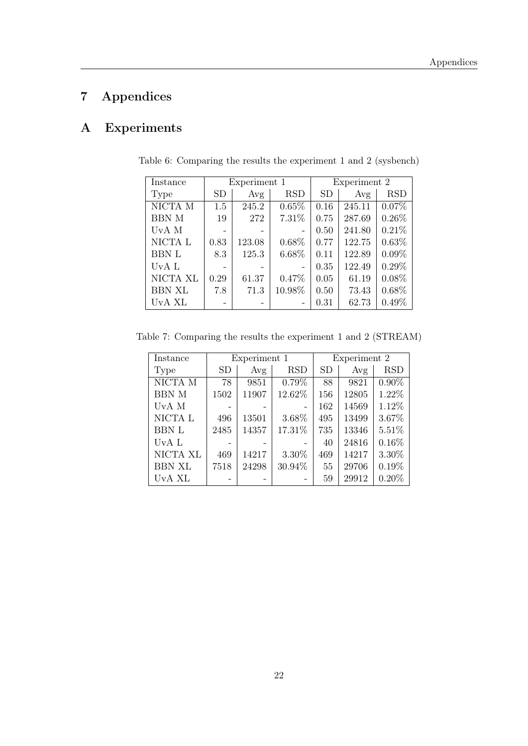# <span id="page-22-0"></span>7 Appendices

# <span id="page-22-2"></span><span id="page-22-1"></span>A Experiments

| Instance      | Experiment 1 |        |            |           | Experiment 2 |            |
|---------------|--------------|--------|------------|-----------|--------------|------------|
| Type          | <b>SD</b>    | Avg    | <b>RSD</b> | <b>SD</b> | Avg          | <b>RSD</b> |
| $NICTA$ M     | 1.5          | 245.2  | 0.65%      | 0.16      | 245.11       | $0.07\%$   |
| <b>BBN M</b>  | 19           | 272    | 7.31%      | 0.75      | 287.69       | $0.26\%$   |
| UvA M         |              |        |            | 0.50      | 241.80       | 0.21%      |
| NICTA L       | 0.83         | 123.08 | $0.68\%$   | 0.77      | 122.75       | $0.63\%$   |
| <b>BBN L</b>  | 8.3          | 125.3  | 6.68%      | 0.11      | 122.89       | $0.09\%$   |
| UvA L         |              |        |            | 0.35      | 122.49       | $0.29\%$   |
| NICTA XL      | 0.29         | 61.37  | 0.47%      | 0.05      | 61.19        | $0.08\%$   |
| <b>BBN XL</b> | 7.8          | 71.3   | 10.98%     | 0.50      | 73.43        | 0.68%      |
| UvA XL        | -            |        |            | 0.31      | 62.73        | $0.49\%$   |

Table 6: Comparing the results the experiment 1 and 2 (sysbench)

<span id="page-22-3"></span>Table 7: Comparing the results the experiment 1 and 2 (STREAM)

| Instance      |           | Experiment 1 |            | Experiment 2 |       |            |
|---------------|-----------|--------------|------------|--------------|-------|------------|
| Type          | <b>SD</b> | Avg          | <b>RSD</b> | <b>SD</b>    | Avg   | <b>RSD</b> |
| NICTA M       | 78        | 9851         | 0.79%      | 88           | 9821  | $0.90\%$   |
| <b>BBN M</b>  | 1502      | 11907        | 12.62%     | 156          | 12805 | 1.22%      |
| UvA M         |           |              |            | 162          | 14569 | 1.12%      |
| NICTA L       | 496       | 13501        | 3.68%      | 495          | 13499 | 3.67%      |
| <b>BBN L</b>  | 2485      | 14357        | 17.31%     | 735          | 13346 | 5.51%      |
| UvA L         |           |              |            | 40           | 24816 | 0.16%      |
| NICTA XL      | 469       | 14217        | 3.30%      | 469          | 14217 | 3.30%      |
| <b>BBN XL</b> | 7518      | 24298        | 30.94%     | 55           | 29706 | 0.19%      |
| UvA XL        |           |              |            | 59           | 29912 | $0.20\%$   |